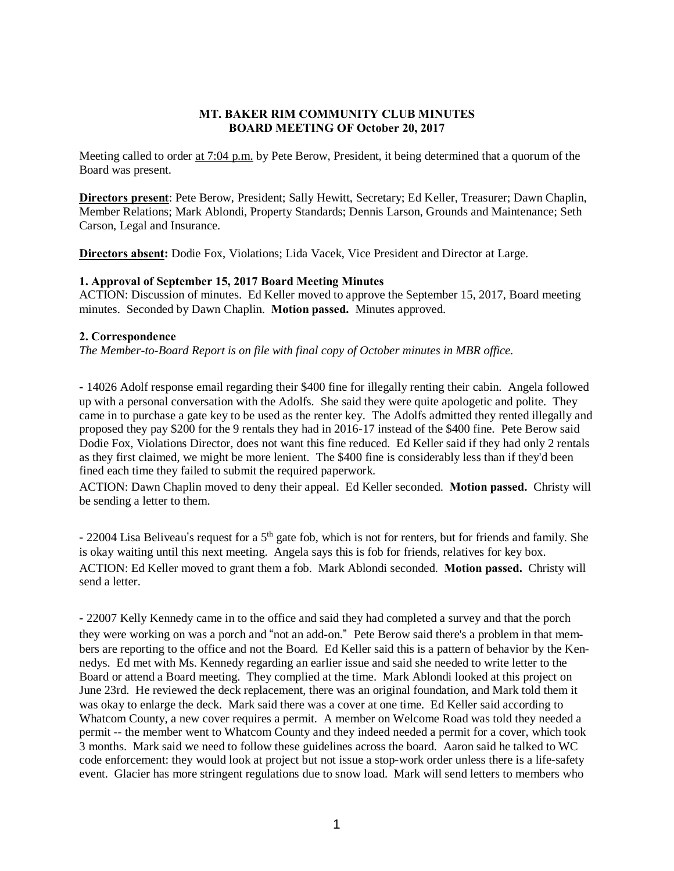#### MT. BAKER RIM COMMUNITY CLUB MINUTES BOARD MEETING OF October 20, 2017

Meeting called to order at 7:04 p.m. by Pete Berow, President, it being determined that a quorum of the Board was present.

Directors present: Pete Berow, President; Sally Hewitt, Secretary; Ed Keller, Treasurer; Dawn Chaplin, Member Relations; Mark Ablondi, Property Standards; Dennis Larson, Grounds and Maintenance; Seth Carson, Legal and Insurance.

Directors absent: Dodie Fox, Violations; Lida Vacek, Vice President and Director at Large.

#### 1. Approval of September 15, 2017 Board Meeting Minutes

ACTION: Discussion of minutes. Ed Keller moved to approve the September 15, 2017, Board meeting minutes. Seconded by Dawn Chaplin. Motion passed. Minutes approved.

## 2. Correspondence

*The Member-to-Board Report is on file with final copy of October minutes in MBR office.*

- 14026 Adolf response email regarding their \$400 fine for illegally renting their cabin. Angela followed up with a personal conversation with the Adolfs. She said they were quite apologetic and polite. They came in to purchase a gate key to be used as the renter key. The Adolfs admitted they rented illegally and proposed they pay \$200 for the 9 rentals they had in 2016-17 instead of the \$400 fine. Pete Berow said Dodie Fox, Violations Director, does not want this fine reduced. Ed Keller said if they had only 2 rentals as they first claimed, we might be more lenient. The \$400 fine is considerably less than if they'd been fined each time they failed to submit the required paperwork.

ACTION: Dawn Chaplin moved to deny their appeal. Ed Keller seconded. Motion passed. Christy will be sending a letter to them.

- 22004 Lisa Beliveau's request for a 5<sup>th</sup> gate fob, which is not for renters, but for friends and family. She is okay waiting until this next meeting. Angela says this is fob for friends, relatives for key box. ACTION: Ed Keller moved to grant them a fob. Mark Ablondi seconded. Motion passed. Christy will send a letter.

- 22007 Kelly Kennedy came in to the office and said they had completed a survey and that the porch they were working on was a porch and "not an add-on." Pete Berow said there's a problem in that members are reporting to the office and not the Board. Ed Keller said this is a pattern of behavior by the Kennedys. Ed met with Ms. Kennedy regarding an earlier issue and said she needed to write letter to the Board or attend a Board meeting. They complied at the time. Mark Ablondi looked at this project on June 23rd. He reviewed the deck replacement, there was an original foundation, and Mark told them it was okay to enlarge the deck. Mark said there was a cover at one time. Ed Keller said according to Whatcom County, a new cover requires a permit. A member on Welcome Road was told they needed a permit -- the member went to Whatcom County and they indeed needed a permit for a cover, which took 3 months. Mark said we need to follow these guidelines across the board. Aaron said he talked to WC code enforcement: they would look at project but not issue a stop-work order unless there is a life-safety event. Glacier has more stringent regulations due to snow load. Mark will send letters to members who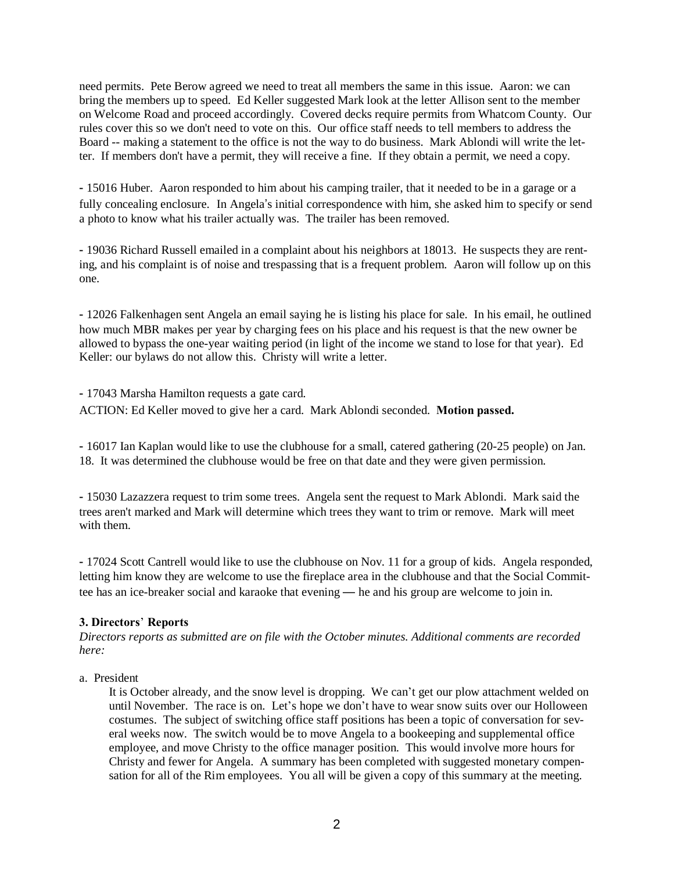need permits. Pete Berow agreed we need to treat all members the same in this issue. Aaron: we can bring the members up to speed. Ed Keller suggested Mark look at the letter Allison sent to the member on Welcome Road and proceed accordingly. Covered decks require permits from Whatcom County. Our rules cover this so we don't need to vote on this. Our office staff needs to tell members to address the Board -- making a statement to the office is not the way to do business. Mark Ablondi will write the letter. If members don't have a permit, they will receive a fine. If they obtain a permit, we need a copy.

- 15016 Huber. Aaron responded to him about his camping trailer, that it needed to be in a garage or a fully concealing enclosure. In Angela's initial correspondence with him, she asked him to specify or send a photo to know what his trailer actually was. The trailer has been removed.

- 19036 Richard Russell emailed in a complaint about his neighbors at 18013. He suspects they are renting, and his complaint is of noise and trespassing that is a frequent problem. Aaron will follow up on this one.

- 12026 Falkenhagen sent Angela an email saying he is listing his place for sale. In his email, he outlined how much MBR makes per year by charging fees on his place and his request is that the new owner be allowed to bypass the one-year waiting period (in light of the income we stand to lose for that year). Ed Keller: our bylaws do not allow this. Christy will write a letter.

- 17043 Marsha Hamilton requests a gate card. ACTION: Ed Keller moved to give her a card. Mark Ablondi seconded. Motion passed.

- 16017 Ian Kaplan would like to use the clubhouse for a small, catered gathering (20-25 people) on Jan. 18. It was determined the clubhouse would be free on that date and they were given permission.

- 15030 Lazazzera request to trim some trees. Angela sent the request to Mark Ablondi. Mark said the trees aren't marked and Mark will determine which trees they want to trim or remove. Mark will meet with them.

- 17024 Scott Cantrell would like to use the clubhouse on Nov. 11 for a group of kids. Angela responded, letting him know they are welcome to use the fireplace area in the clubhouse and that the Social Committee has an ice-breaker social and karaoke that evening — he and his group are welcome to join in.

# 3. Directors' Reports

*Directors reports as submitted are on file with the October minutes. Additional comments are recorded here:*

### a. President

It is October already, and the snow level is dropping. We can't get our plow attachment welded on until November. The race is on. Let's hope we don't have to wear snow suits over our Holloween costumes. The subject of switching office staff positions has been a topic of conversation for several weeks now. The switch would be to move Angela to a bookeeping and supplemental office employee, and move Christy to the office manager position. This would involve more hours for Christy and fewer for Angela. A summary has been completed with suggested monetary compensation for all of the Rim employees. You all will be given a copy of this summary at the meeting.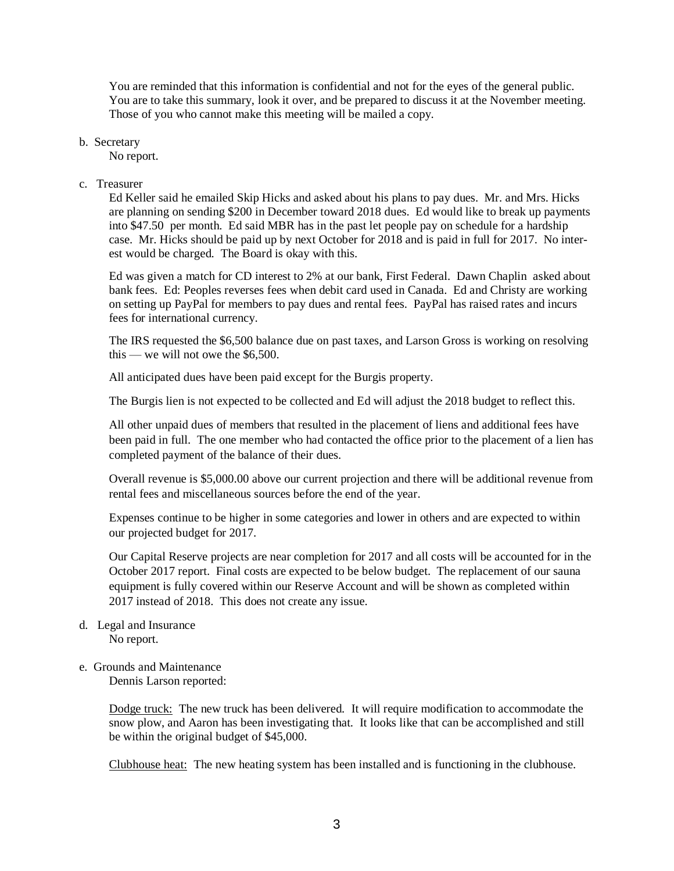You are reminded that this information is confidential and not for the eyes of the general public. You are to take this summary, look it over, and be prepared to discuss it at the November meeting. Those of you who cannot make this meeting will be mailed a copy.

b. Secretary

No report.

c. Treasurer

Ed Keller said he emailed Skip Hicks and asked about his plans to pay dues. Mr. and Mrs. Hicks are planning on sending \$200 in December toward 2018 dues. Ed would like to break up payments into \$47.50 per month. Ed said MBR has in the past let people pay on schedule for a hardship case. Mr. Hicks should be paid up by next October for 2018 and is paid in full for 2017. No interest would be charged. The Board is okay with this.

Ed was given a match for CD interest to 2% at our bank, First Federal. Dawn Chaplin asked about bank fees. Ed: Peoples reverses fees when debit card used in Canada. Ed and Christy are working on setting up PayPal for members to pay dues and rental fees. PayPal has raised rates and incurs fees for international currency.

The IRS requested the \$6,500 balance due on past taxes, and Larson Gross is working on resolving this — we will not owe the \$6,500.

All anticipated dues have been paid except for the Burgis property.

The Burgis lien is not expected to be collected and Ed will adjust the 2018 budget to reflect this.

All other unpaid dues of members that resulted in the placement of liens and additional fees have been paid in full. The one member who had contacted the office prior to the placement of a lien has completed payment of the balance of their dues.

Overall revenue is \$5,000.00 above our current projection and there will be additional revenue from rental fees and miscellaneous sources before the end of the year.

Expenses continue to be higher in some categories and lower in others and are expected to within our projected budget for 2017.

Our Capital Reserve projects are near completion for 2017 and all costs will be accounted for in the October 2017 report. Final costs are expected to be below budget. The replacement of our sauna equipment is fully covered within our Reserve Account and will be shown as completed within 2017 instead of 2018. This does not create any issue.

d. Legal and Insurance No report.

# e. Grounds and Maintenance

Dennis Larson reported:

Dodge truck: The new truck has been delivered. It will require modification to accommodate the snow plow, and Aaron has been investigating that. It looks like that can be accomplished and still be within the original budget of \$45,000.

Clubhouse heat: The new heating system has been installed and is functioning in the clubhouse.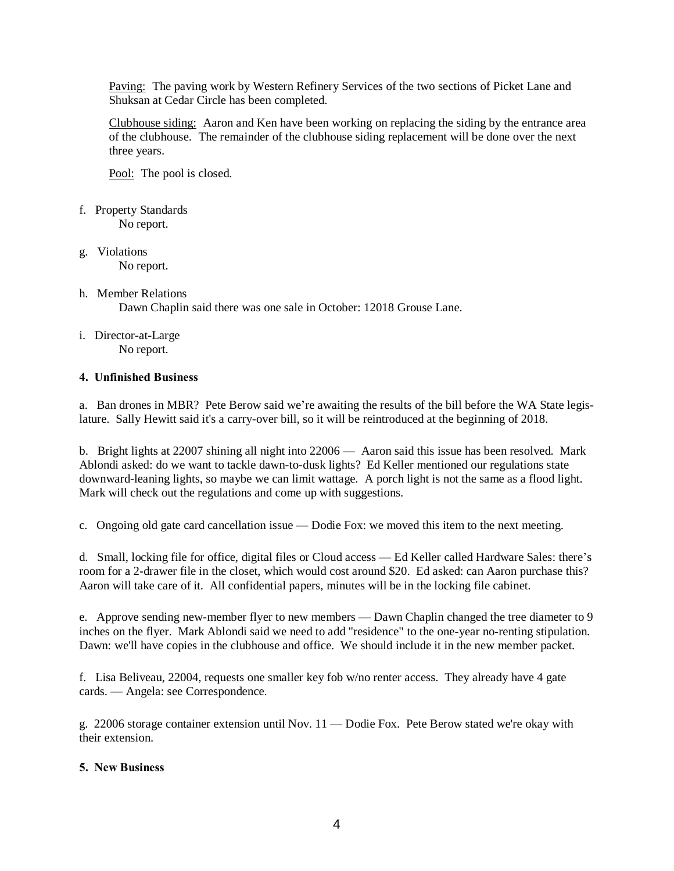Paving: The paving work by Western Refinery Services of the two sections of Picket Lane and Shuksan at Cedar Circle has been completed.

Clubhouse siding: Aaron and Ken have been working on replacing the siding by the entrance area of the clubhouse. The remainder of the clubhouse siding replacement will be done over the next three years.

Pool: The pool is closed.

- f. Property Standards No report.
- g. Violations No report.

#### h. Member Relations Dawn Chaplin said there was one sale in October: 12018 Grouse Lane.

i. Director-at-Large No report.

## 4. Unfinished Business

a. Ban drones in MBR? Pete Berow said we're awaiting the results of the bill before the WA State legislature. Sally Hewitt said it's a carry-over bill, so it will be reintroduced at the beginning of 2018.

b. Bright lights at 22007 shining all night into 22006 — Aaron said this issue has been resolved. Mark Ablondi asked: do we want to tackle dawn-to-dusk lights? Ed Keller mentioned our regulations state downward-leaning lights, so maybe we can limit wattage. A porch light is not the same as a flood light. Mark will check out the regulations and come up with suggestions.

c. Ongoing old gate card cancellation issue — Dodie Fox: we moved this item to the next meeting.

d. Small, locking file for office, digital files or Cloud access — Ed Keller called Hardware Sales: there's room for a 2-drawer file in the closet, which would cost around \$20. Ed asked: can Aaron purchase this? Aaron will take care of it. All confidential papers, minutes will be in the locking file cabinet.

e. Approve sending new-member flyer to new members — Dawn Chaplin changed the tree diameter to 9 inches on the flyer. Mark Ablondi said we need to add "residence" to the one-year no-renting stipulation. Dawn: we'll have copies in the clubhouse and office. We should include it in the new member packet.

f. Lisa Beliveau, 22004, requests one smaller key fob w/no renter access. They already have 4 gate cards. — Angela: see Correspondence.

g. 22006 storage container extension until Nov. 11 — Dodie Fox. Pete Berow stated we're okay with their extension.

#### 5. New Business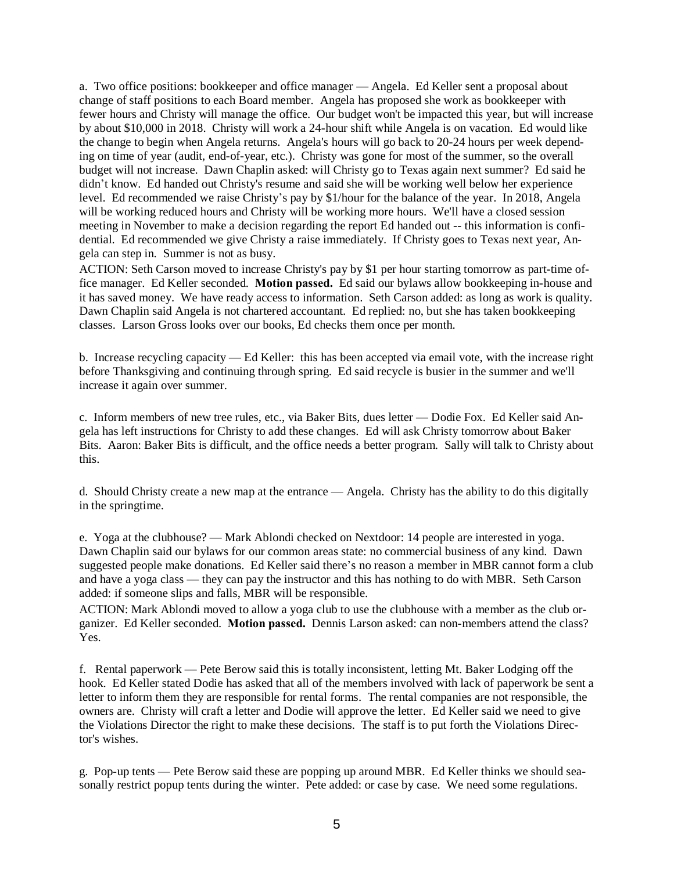a. Two office positions: bookkeeper and office manager — Angela. Ed Keller sent a proposal about change of staff positions to each Board member. Angela has proposed she work as bookkeeper with fewer hours and Christy will manage the office. Our budget won't be impacted this year, but will increase by about \$10,000 in 2018. Christy will work a 24-hour shift while Angela is on vacation. Ed would like the change to begin when Angela returns. Angela's hours will go back to 20-24 hours per week depending on time of year (audit, end-of-year, etc.). Christy was gone for most of the summer, so the overall budget will not increase. Dawn Chaplin asked: will Christy go to Texas again next summer? Ed said he didn't know. Ed handed out Christy's resume and said she will be working well below her experience level. Ed recommended we raise Christy's pay by \$1/hour for the balance of the year. In 2018, Angela will be working reduced hours and Christy will be working more hours. We'll have a closed session meeting in November to make a decision regarding the report Ed handed out -- this information is confidential. Ed recommended we give Christy a raise immediately. If Christy goes to Texas next year, Angela can step in. Summer is not as busy.

ACTION: Seth Carson moved to increase Christy's pay by \$1 per hour starting tomorrow as part-time office manager. Ed Keller seconded. Motion passed. Ed said our bylaws allow bookkeeping in-house and it has saved money. We have ready access to information. Seth Carson added: as long as work is quality. Dawn Chaplin said Angela is not chartered accountant. Ed replied: no, but she has taken bookkeeping classes. Larson Gross looks over our books, Ed checks them once per month.

b. Increase recycling capacity — Ed Keller: this has been accepted via email vote, with the increase right before Thanksgiving and continuing through spring. Ed said recycle is busier in the summer and we'll increase it again over summer.

c. Inform members of new tree rules, etc., via Baker Bits, dues letter — Dodie Fox. Ed Keller said Angela has left instructions for Christy to add these changes. Ed will ask Christy tomorrow about Baker Bits. Aaron: Baker Bits is difficult, and the office needs a better program. Sally will talk to Christy about this.

d. Should Christy create a new map at the entrance — Angela. Christy has the ability to do this digitally in the springtime.

e. Yoga at the clubhouse? — Mark Ablondi checked on Nextdoor: 14 people are interested in yoga. Dawn Chaplin said our bylaws for our common areas state: no commercial business of any kind. Dawn suggested people make donations. Ed Keller said there's no reason a member in MBR cannot form a club and have a yoga class — they can pay the instructor and this has nothing to do with MBR. Seth Carson added: if someone slips and falls, MBR will be responsible.

ACTION: Mark Ablondi moved to allow a yoga club to use the clubhouse with a member as the club organizer. Ed Keller seconded. Motion passed. Dennis Larson asked: can non-members attend the class? Yes.

f. Rental paperwork — Pete Berow said this is totally inconsistent, letting Mt. Baker Lodging off the hook. Ed Keller stated Dodie has asked that all of the members involved with lack of paperwork be sent a letter to inform them they are responsible for rental forms. The rental companies are not responsible, the owners are. Christy will craft a letter and Dodie will approve the letter. Ed Keller said we need to give the Violations Director the right to make these decisions. The staff is to put forth the Violations Director's wishes.

g. Pop-up tents — Pete Berow said these are popping up around MBR. Ed Keller thinks we should seasonally restrict popup tents during the winter. Pete added: or case by case. We need some regulations.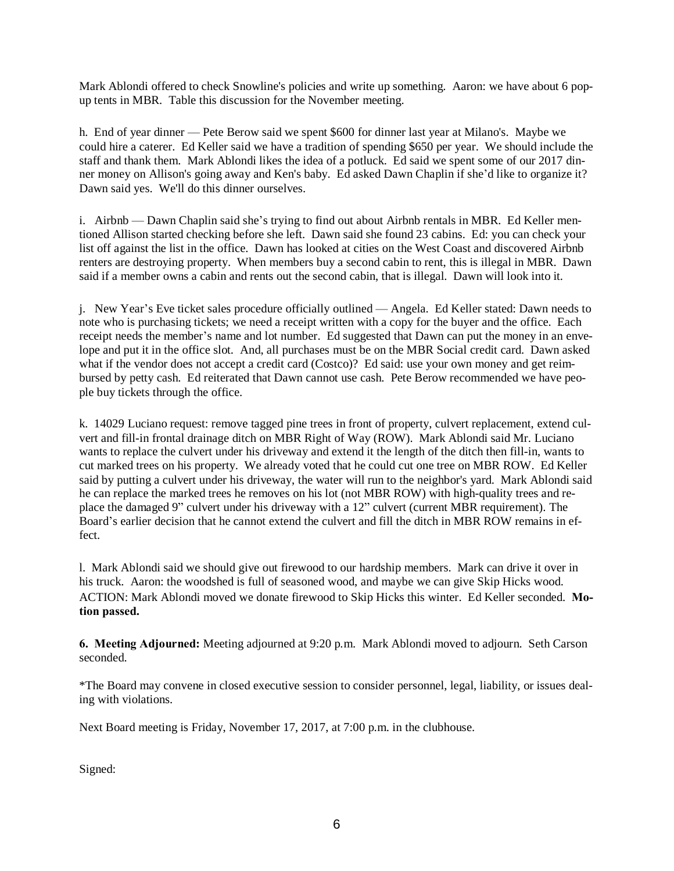Mark Ablondi offered to check Snowline's policies and write up something. Aaron: we have about 6 popup tents in MBR. Table this discussion for the November meeting.

h. End of year dinner — Pete Berow said we spent \$600 for dinner last year at Milano's. Maybe we could hire a caterer. Ed Keller said we have a tradition of spending \$650 per year. We should include the staff and thank them. Mark Ablondi likes the idea of a potluck. Ed said we spent some of our 2017 dinner money on Allison's going away and Ken's baby. Ed asked Dawn Chaplin if she'd like to organize it? Dawn said yes. We'll do this dinner ourselves.

i. Airbnb — Dawn Chaplin said she's trying to find out about Airbnb rentals in MBR. Ed Keller mentioned Allison started checking before she left. Dawn said she found 23 cabins. Ed: you can check your list off against the list in the office. Dawn has looked at cities on the West Coast and discovered Airbnb renters are destroying property. When members buy a second cabin to rent, this is illegal in MBR. Dawn said if a member owns a cabin and rents out the second cabin, that is illegal. Dawn will look into it.

j. New Year's Eve ticket sales procedure officially outlined — Angela. Ed Keller stated: Dawn needs to note who is purchasing tickets; we need a receipt written with a copy for the buyer and the office. Each receipt needs the member's name and lot number. Ed suggested that Dawn can put the money in an envelope and put it in the office slot. And, all purchases must be on the MBR Social credit card. Dawn asked what if the vendor does not accept a credit card (Costco)? Ed said: use your own money and get reimbursed by petty cash. Ed reiterated that Dawn cannot use cash. Pete Berow recommended we have people buy tickets through the office.

k. 14029 Luciano request: remove tagged pine trees in front of property, culvert replacement, extend culvert and fill-in frontal drainage ditch on MBR Right of Way (ROW). Mark Ablondi said Mr. Luciano wants to replace the culvert under his driveway and extend it the length of the ditch then fill-in, wants to cut marked trees on his property. We already voted that he could cut one tree on MBR ROW. Ed Keller said by putting a culvert under his driveway, the water will run to the neighbor's yard. Mark Ablondi said he can replace the marked trees he removes on his lot (not MBR ROW) with high-quality trees and replace the damaged 9" culvert under his driveway with a 12" culvert (current MBR requirement). The Board's earlier decision that he cannot extend the culvert and fill the ditch in MBR ROW remains in effect.

l. Mark Ablondi said we should give out firewood to our hardship members. Mark can drive it over in his truck. Aaron: the woodshed is full of seasoned wood, and maybe we can give Skip Hicks wood. ACTION: Mark Ablondi moved we donate firewood to Skip Hicks this winter. Ed Keller seconded. Motion passed.

6. Meeting Adjourned: Meeting adjourned at 9:20 p.m. Mark Ablondi moved to adjourn. Seth Carson seconded.

\*The Board may convene in closed executive session to consider personnel, legal, liability, or issues dealing with violations.

Next Board meeting is Friday, November 17, 2017, at 7:00 p.m. in the clubhouse.

Signed: